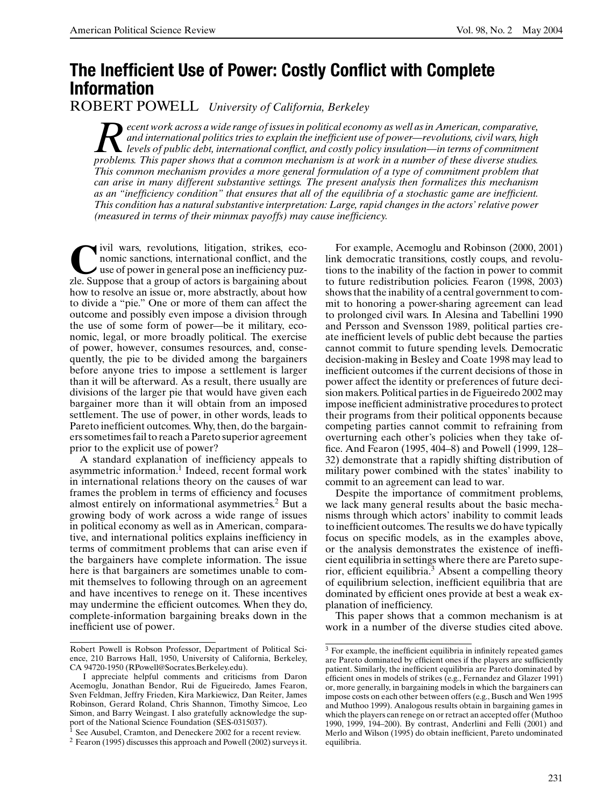# **The Inefficient Use of Power: Costly Conflict with Complete Information**

ROBERT POWELL *University of California, Berkeley*

*Recent work across a wide range of issues in political economy as well as in American, comparative,*<br>and international politics tries to explain the inefficient use of power—revolutions, civil wars, high<br>levels of public *and international politics tries to explain the inefficient use of power—revolutions, civil wars, high levels of public debt, international conflict, and costly policy insulation—in terms of commitment problems. This paper shows that a common mechanism is at work in a number of these diverse studies. This common mechanism provides a more general formulation of a type of commitment problem that can arise in many different substantive settings. The present analysis then formalizes this mechanism as an "inefficiency condition" that ensures that all of the equilibria of a stochastic game are inefficient. This condition has a natural substantive interpretation: Large, rapid changes in the actors' relative power (measured in terms of their minmax payoffs) may cause inefficiency.*

ivil wars, revolutions, litigation, strikes, eco-<br>nomic sanctions, international conflict, and the<br>use of power in general pose an inefficiency puz-<br>zle. Suppose that a group of actors is bargaining about nomic sanctions, international conflict, and the use of power in general pose an inefficiency puzzle. Suppose that a group of actors is bargaining about how to resolve an issue or, more abstractly, about how to divide a "pie." One or more of them can affect the outcome and possibly even impose a division through the use of some form of power—be it military, economic, legal, or more broadly political. The exercise of power, however, consumes resources, and, consequently, the pie to be divided among the bargainers before anyone tries to impose a settlement is larger than it will be afterward. As a result, there usually are divisions of the larger pie that would have given each bargainer more than it will obtain from an imposed settlement. The use of power, in other words, leads to Pareto inefficient outcomes. Why, then, do the bargainers sometimes fail to reach a Pareto superior agreement prior to the explicit use of power?

A standard explanation of inefficiency appeals to asymmetric information.<sup>1</sup> Indeed, recent formal work in international relations theory on the causes of war frames the problem in terms of efficiency and focuses almost entirely on informational asymmetries.<sup>2</sup> But a growing body of work across a wide range of issues in political economy as well as in American, comparative, and international politics explains inefficiency in terms of commitment problems that can arise even if the bargainers have complete information. The issue here is that bargainers are sometimes unable to commit themselves to following through on an agreement and have incentives to renege on it. These incentives may undermine the efficient outcomes. When they do, complete-information bargaining breaks down in the inefficient use of power.

For example, Acemoglu and Robinson (2000, 2001) link democratic transitions, costly coups, and revolutions to the inability of the faction in power to commit to future redistribution policies. Fearon (1998, 2003) shows that the inability of a central government to commit to honoring a power-sharing agreement can lead to prolonged civil wars. In Alesina and Tabellini 1990 and Persson and Svensson 1989, political parties create inefficient levels of public debt because the parties cannot commit to future spending levels. Democratic decision-making in Besley and Coate 1998 may lead to inefficient outcomes if the current decisions of those in power affect the identity or preferences of future decision makers. Political parties in de Figueiredo 2002 may impose inefficient administrative procedures to protect their programs from their political opponents because competing parties cannot commit to refraining from overturning each other's policies when they take office. And Fearon (1995, 404–8) and Powell (1999, 128– 32) demonstrate that a rapidly shifting distribution of military power combined with the states' inability to commit to an agreement can lead to war.

Despite the importance of commitment problems, we lack many general results about the basic mechanisms through which actors' inability to commit leads to inefficient outcomes. The results we do have typically focus on specific models, as in the examples above, or the analysis demonstrates the existence of inefficient equilibria in settings where there are Pareto superior, efficient equilibria.<sup>3</sup> Absent a compelling theory of equilibrium selection, inefficient equilibria that are dominated by efficient ones provide at best a weak explanation of inefficiency.

This paper shows that a common mechanism is at work in a number of the diverse studies cited above.

Robert Powell is Robson Professor, Department of Political Science, 210 Barrows Hall, 1950, University of California, Berkeley, CA 94720-1950 (RPowell@Socrates.Berkeley.edu).

I appreciate helpful comments and criticisms from Daron Acemoglu, Jonathan Bendor, Rui de Figueiredo, James Fearon, Sven Feldman, Jeffry Frieden, Kira Markiewicz, Dan Reiter, James Robinson, Gerard Roland, Chris Shannon, Timothy Simcoe, Leo Simon, and Barry Weingast. I also gratefully acknowledge the support of the National Science Foundation (SES-0315037).

See Ausubel, Cramton, and Deneckere 2002 for a recent review.

 $2$  Fearon (1995) discusses this approach and Powell (2002) surveys it.

<sup>3</sup> For example, the inefficient equilibria in infinitely repeated games are Pareto dominated by efficient ones if the players are sufficiently patient. Similarly, the inefficient equilibria are Pareto dominated by efficient ones in models of strikes (e.g., Fernandez and Glazer 1991) or, more generally, in bargaining models in which the bargainers can impose costs on each other between offers (e.g., Busch and Wen 1995 and Muthoo 1999). Analogous results obtain in bargaining games in which the players can renege on or retract an accepted offer (Muthoo 1990, 1999, 194–200). By contrast, Anderlini and Felli (2001) and Merlo and Wilson (1995) do obtain inefficient, Pareto undominated equilibria.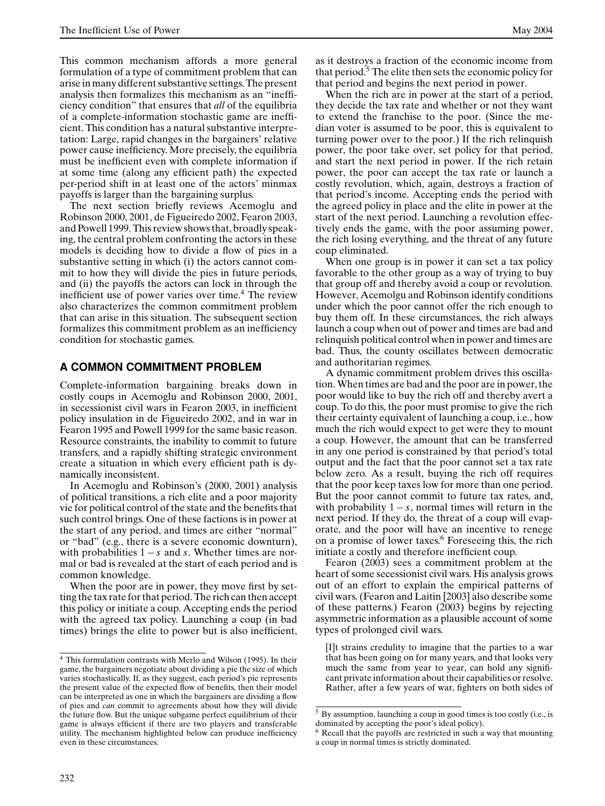This common mechanism affords a more general formulation of a type of commitment problem that can arise in many different substantive settings. The present analysis then formalizes this mechanism as an "inefficiency condition" that ensures that *all* of the equilibria of a complete-information stochastic game are inefficient. This condition has a natural substantive interpretation: Large, rapid changes in the bargainers' relative power cause inefficiency. More precisely, the equilibria must be inefficient even with complete information if at some time (along any efficient path) the expected per-period shift in at least one of the actors' minmax payoffs is larger than the bargaining surplus.

The next section briefly reviews Acemoglu and Robinson 2000, 2001, de Figueiredo 2002, Fearon 2003, and Powell 1999. This review shows that, broadly speaking, the central problem confronting the actors in these models is deciding how to divide a flow of pies in a substantive setting in which (i) the actors cannot commit to how they will divide the pies in future periods, and (ii) the payoffs the actors can lock in through the inefficient use of power varies over time.<sup>4</sup> The review also characterizes the common commitment problem that can arise in this situation. The subsequent section formalizes this commitment problem as an inefficiency condition for stochastic games.

# **A COMMON COMMITMENT PROBLEM**

Complete-information bargaining breaks down in costly coups in Acemoglu and Robinson 2000, 2001, in secessionist civil wars in Fearon 2003, in inefficient policy insulation in de Figueiredo 2002, and in war in Fearon 1995 and Powell 1999 for the same basic reason. Resource constraints, the inability to commit to future transfers, and a rapidly shifting strategic environment create a situation in which every efficient path is dynamically inconsistent.

In Acemoglu and Robinson's (2000, 2001) analysis of political transitions, a rich elite and a poor majority vie for political control of the state and the benefits that such control brings. One of these factions is in power at the start of any period, and times are either "normal" or "bad" (e.g., there is a severe economic downturn), with probabilities 1 − *s* and *s*. Whether times are normal or bad is revealed at the start of each period and is common knowledge.

When the poor are in power, they move first by setting the tax rate for that period. The rich can then accept this policy or initiate a coup. Accepting ends the period with the agreed tax policy. Launching a coup (in bad times) brings the elite to power but is also inefficient, as it destroys a fraction of the economic income from that period.5 The elite then sets the economic policy for that period and begins the next period in power.

When the rich are in power at the start of a period, they decide the tax rate and whether or not they want to extend the franchise to the poor. (Since the median voter is assumed to be poor, this is equivalent to turning power over to the poor.) If the rich relinquish power, the poor take over, set policy for that period, and start the next period in power. If the rich retain power, the poor can accept the tax rate or launch a costly revolution, which, again, destroys a fraction of that period's income. Accepting ends the period with the agreed policy in place and the elite in power at the start of the next period. Launching a revolution effectively ends the game, with the poor assuming power, the rich losing everything, and the threat of any future coup eliminated.

When one group is in power it can set a tax policy favorable to the other group as a way of trying to buy that group off and thereby avoid a coup or revolution. However, Acemolgu and Robinson identify conditions under which the poor cannot offer the rich enough to buy them off. In these circumstances, the rich always launch a coup when out of power and times are bad and relinquish political control when in power and times are bad. Thus, the county oscillates between democratic and authoritarian regimes.

A dynamic commitment problem drives this oscillation. When times are bad and the poor are in power, the poor would like to buy the rich off and thereby avert a coup. To do this, the poor must promise to give the rich their certainty equivalent of launching a coup, i.e., how much the rich would expect to get were they to mount a coup. However, the amount that can be transferred in any one period is constrained by that period's total output and the fact that the poor cannot set a tax rate below zero. As a result, buying the rich off requires that the poor keep taxes low for more than one period. But the poor cannot commit to future tax rates, and, with probability  $1 - s$ , normal times will return in the next period. If they do, the threat of a coup will evaporate, and the poor will have an incentive to renege on a promise of lower taxes.6 Foreseeing this, the rich initiate a costly and therefore inefficient coup.

Fearon (2003) sees a commitment problem at the heart of some secessionist civil wars. His analysis grows out of an effort to explain the empirical patterns of civil wars. (Fearon and Laitin [2003] also describe some of these patterns.) Fearon (2003) begins by rejecting asymmetric information as a plausible account of some types of prolonged civil wars.

[I]t strains credulity to imagine that the parties to a war that has been going on for many years, and that looks very much the same from year to year, can hold any significant private information about their capabilities or resolve. Rather, after a few years of war, fighters on both sides of

<sup>4</sup> This formulation contrasts with Merlo and Wilson (1995). In their game, the bargainers negotiate about dividing a pie the size of which varies stochastically. If, as they suggest, each period's pie represents the present value of the expected flow of benefits, then their model can be interpreted as one in which the bargainers are dividing a flow of pies and *can* commit to agreements about how they will divide the future flow. But the unique subgame perfect equilibrium of their game is always efficient if there are two players and transferable utility. The mechanism highlighted below can produce inefficiency even in these circumstances.

<sup>5</sup> By assumption, launching a coup in good times is too costly (i.e., is dominated by accepting the poor's ideal policy).

<sup>6</sup> Recall that the payoffs are restricted in such a way that mounting a coup in normal times is strictly dominated.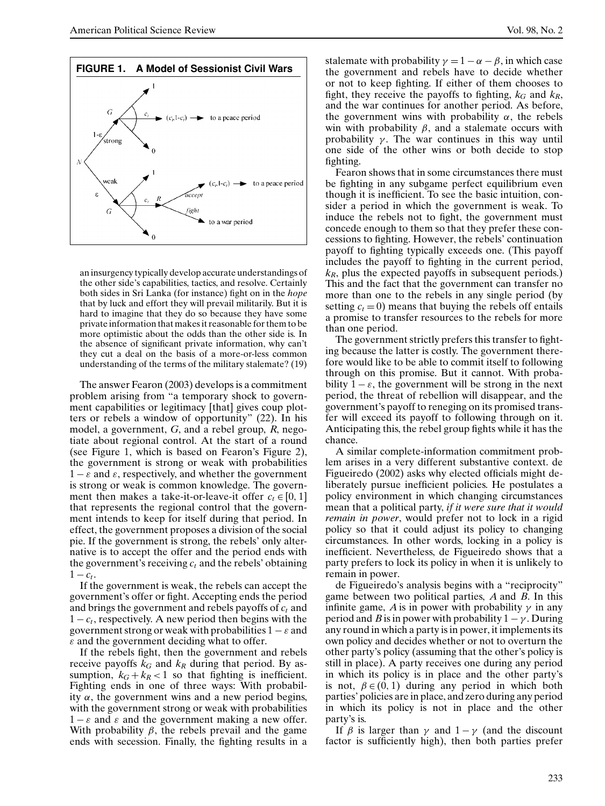

an insurgency typically develop accurate understandings of the other side's capabilities, tactics, and resolve. Certainly both sides in Sri Lanka (for instance) fight on in the *hope* that by luck and effort they will prevail militarily. But it is hard to imagine that they do so because they have some private information that makes it reasonable for them to be more optimistic about the odds than the other side is. In the absence of significant private information, why can't they cut a deal on the basis of a more-or-less common understanding of the terms of the military stalemate? (19)

The answer Fearon (2003) develops is a commitment problem arising from "a temporary shock to government capabilities or legitimacy [that] gives coup plotters or rebels a window of opportunity" (22). In his model, a government, *G*, and a rebel group, *R*, negotiate about regional control. At the start of a round (see Figure 1, which is based on Fearon's Figure 2), the government is strong or weak with probabilities  $1 - \varepsilon$  and  $\varepsilon$ , respectively, and whether the government is strong or weak is common knowledge. The government then makes a take-it-or-leave-it offer  $c_t \in [0, 1]$ that represents the regional control that the government intends to keep for itself during that period. In effect, the government proposes a division of the social pie. If the government is strong, the rebels' only alternative is to accept the offer and the period ends with the government's receiving  $c_t$  and the rebels' obtaining  $1 - c_t$ .

If the government is weak, the rebels can accept the government's offer or fight. Accepting ends the period and brings the government and rebels payoffs of  $c_t$  and  $1 - c_t$ , respectively. A new period then begins with the government strong or weak with probabilities  $1 - \varepsilon$  and  $\varepsilon$  and the government deciding what to offer.

If the rebels fight, then the government and rebels receive payoffs  $k_G$  and  $k_R$  during that period. By assumption,  $k_G + k_R < 1$  so that fighting is inefficient. Fighting ends in one of three ways: With probability  $\alpha$ , the government wins and a new period begins, with the government strong or weak with probabilities  $1 - \varepsilon$  and  $\varepsilon$  and the government making a new offer. With probability  $\beta$ , the rebels prevail and the game ends with secession. Finally, the fighting results in a stalemate with probability  $\gamma = 1 - \alpha - \beta$ , in which case the government and rebels have to decide whether or not to keep fighting. If either of them chooses to fight, they receive the payoffs to fighting,  $k_G$  and  $k_R$ , and the war continues for another period. As before, the government wins with probability  $\alpha$ , the rebels win with probability  $\beta$ , and a stalemate occurs with probability  $\gamma$ . The war continues in this way until one side of the other wins or both decide to stop fighting.

Fearon shows that in some circumstances there must be fighting in any subgame perfect equilibrium even though it is inefficient. To see the basic intuition, consider a period in which the government is weak. To induce the rebels not to fight, the government must concede enough to them so that they prefer these concessions to fighting. However, the rebels' continuation payoff to fighting typically exceeds one. (This payoff includes the payoff to fighting in the current period,  $k_R$ , plus the expected payoffs in subsequent periods.) This and the fact that the government can transfer no more than one to the rebels in any single period (by setting  $c_t = 0$ ) means that buying the rebels off entails a promise to transfer resources to the rebels for more than one period.

The government strictly prefers this transfer to fighting because the latter is costly. The government therefore would like to be able to commit itself to following through on this promise. But it cannot. With probability  $1 - \varepsilon$ , the government will be strong in the next period, the threat of rebellion will disappear, and the government's payoff to reneging on its promised transfer will exceed its payoff to following through on it. Anticipating this, the rebel group fights while it has the chance.

A similar complete-information commitment problem arises in a very different substantive context. de Figueiredo (2002) asks why elected officials might deliberately pursue inefficient policies. He postulates a policy environment in which changing circumstances mean that a political party, *if it were sure that it would remain in power*, would prefer not to lock in a rigid policy so that it could adjust its policy to changing circumstances. In other words, locking in a policy is inefficient. Nevertheless, de Figueiredo shows that a party prefers to lock its policy in when it is unlikely to remain in power.

de Figueiredo's analysis begins with a "reciprocity" game between two political parties, *A* and *B*. In this infinite game, *A* is in power with probability  $\gamma$  in any period and *B* is in power with probability  $1 - \gamma$ . During any round in which a party is in power, it implements its own policy and decides whether or not to overturn the other party's policy (assuming that the other's policy is still in place). A party receives one during any period in which its policy is in place and the other party's is not,  $\beta \in (0, 1)$  during any period in which both parties' policies are in place, and zero during any period in which its policy is not in place and the other party's is.

If  $\beta$  is larger than  $\gamma$  and  $1 - \gamma$  (and the discount factor is sufficiently high), then both parties prefer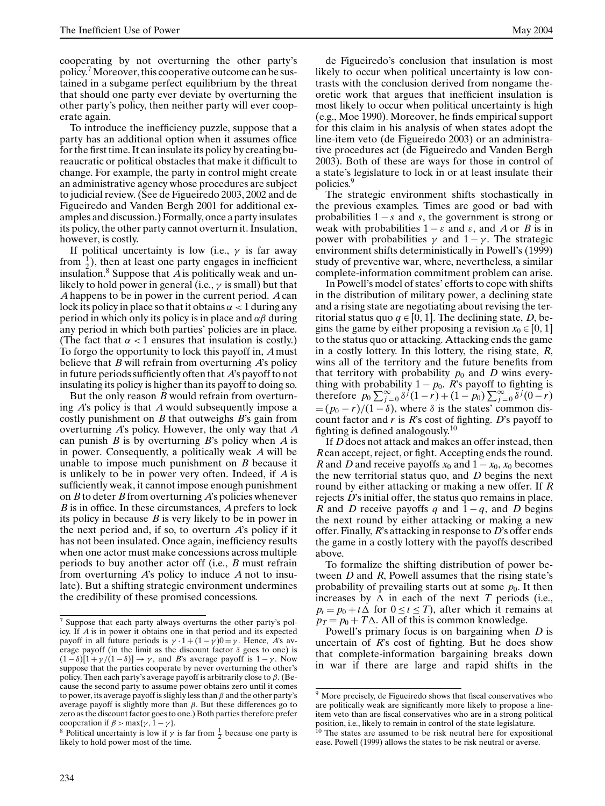cooperating by not overturning the other party's policy.<sup>7</sup> Moreover, this cooperative outcome can be sustained in a subgame perfect equilibrium by the threat that should one party ever deviate by overturning the other party's policy, then neither party will ever cooperate again.

To introduce the inefficiency puzzle, suppose that a party has an additional option when it assumes office for the first time. It can insulate its policy by creating bureaucratic or political obstacles that make it difficult to change. For example, the party in control might create an administrative agency whose procedures are subject to judicial review. (See de Figueiredo 2003, 2002 and de Figueiredo and Vanden Bergh 2001 for additional examples and discussion.) Formally, once a party insulates its policy, the other party cannot overturn it. Insulation, however, is costly.

If political uncertainty is low (i.e.,  $\gamma$  is far away from  $\frac{1}{2}$ ), then at least one party engages in inefficient insulation.<sup>8</sup> Suppose that *A*is politically weak and unlikely to hold power in general (i.e.,  $\gamma$  is small) but that *A*happens to be in power in the current period. *A*can lock its policy in place so that it obtains  $\alpha < 1$  during any period in which only its policy is in place and  $\alpha\beta$  during any period in which both parties' policies are in place. (The fact that  $\alpha < 1$  ensures that insulation is costly.) To forgo the opportunity to lock this payoff in, *A*must believe that *B* will refrain from overturning *A*'s policy in future periods sufficiently often that *A*'s payoff to not insulating its policy is higher than its payoff to doing so.

But the only reason *B* would refrain from overturning *A*'s policy is that *A* would subsequently impose a costly punishment on *B* that outweighs *B*'s gain from overturning *A*'s policy. However, the only way that *A* can punish *B* is by overturning *B*'s policy when *A* is in power. Consequently, a politically weak *A* will be unable to impose much punishment on *B* because it is unlikely to be in power very often. Indeed, if *A* is sufficiently weak, it cannot impose enough punishment on *B*to deter *B*from overturning *A*'s policies whenever *B* is in office. In these circumstances, *A*prefers to lock its policy in because *B* is very likely to be in power in the next period and, if so, to overturn *A*'s policy if it has not been insulated. Once again, inefficiency results when one actor must make concessions across multiple periods to buy another actor off (i.e., *B* must refrain from overturning *A*'s policy to induce *A* not to insulate). But a shifting strategic environment undermines the credibility of these promised concessions.

de Figueiredo's conclusion that insulation is most likely to occur when political uncertainty is low contrasts with the conclusion derived from nongame theoretic work that argues that inefficient insulation is most likely to occur when political uncertainty is high (e.g., Moe 1990). Moreover, he finds empirical support for this claim in his analysis of when states adopt the line-item veto (de Figueiredo 2003) or an administrative procedures act (de Figueiredo and Vanden Bergh 2003). Both of these are ways for those in control of a state's legislature to lock in or at least insulate their policies.9

The strategic environment shifts stochastically in the previous examples. Times are good or bad with probabilities 1 − *s* and *s*, the government is strong or weak with probabilities  $1 - \varepsilon$  and  $\varepsilon$ , and A or B is in power with probabilities  $\gamma$  and  $1 - \gamma$ . The strategic environment shifts deterministically in Powell's (1999) study of preventive war, where, nevertheless, a similar complete-information commitment problem can arise.

In Powell's model of states' efforts to cope with shifts in the distribution of military power, a declining state and a rising state are negotiating about revising the territorial status quo  $q \in [0, 1]$ . The declining state, *D*, begins the game by either proposing a revision  $x_0 \in [0, 1]$ to the status quo or attacking. Attacking ends the game in a costly lottery. In this lottery, the rising state, *R*, wins all of the territory and the future benefits from that territory with probability  $p_0$  and *D* wins everything with probability  $1 - p_0$ . *R*'s payoff to fighting is therefore  $p_0 \sum_{j=0}^{\infty} \delta^j (1-r) + (1-p_0) \sum_{j=0}^{\infty} \delta^j (0-r)$  $= (p_0 - r)/(1 - \delta)$ , where  $\delta$  is the states' common discount factor and *r* is *R*'s cost of fighting. *D*'s payoff to fighting is defined analogously.<sup>10</sup>

If *D*does not attack and makes an offer instead, then *R*can accept, reject, or fight. Accepting ends the round. *R* and *D* and receive payoffs  $x_0$  and  $1 - x_0$ ,  $x_0$  becomes the new territorial status quo, and *D* begins the next round by either attacking or making a new offer. If *R* rejects *D*'s initial offer, the status quo remains in place, *R* and *D* receive payoffs *q* and  $1 - q$ , and *D* begins the next round by either attacking or making a new offer. Finally, *R*'s attacking in response to *D*'s offer ends the game in a costly lottery with the payoffs described above.

To formalize the shifting distribution of power between *D* and *R*, Powell assumes that the rising state's probability of prevailing starts out at some  $p_0$ . It then increases by  $\Delta$  in each of the next *T* periods (i.e.,  $p_t = p_0 + t \Delta$  for  $0 \le t \le T$ ), after which it remains at  $p_T = p_0 + T\Delta$ . All of this is common knowledge.

Powell's primary focus is on bargaining when *D* is uncertain of *R*'s cost of fighting. But he does show that complete-information bargaining breaks down in war if there are large and rapid shifts in the

<sup>7</sup> Suppose that each party always overturns the other party's policy. If *A* is in power it obtains one in that period and its expected payoff in all future periods is  $\gamma \cdot 1 + (1 - \gamma)0 = \gamma$ . Hence, *A*'s average payoff (in the limit as the discount factor  $\delta$  goes to one) is  $(1 - \delta)[1 + \gamma/(1 - \delta)] \rightarrow \gamma$ , and *B*'s average payoff is  $1 - \gamma$ . Now suppose that the parties cooperate by never overturning the other's policy. Then each party's average payoff is arbitrarily close to  $\beta$ . (Because the second party to assume power obtains zero until it comes to power, its average payoff is slighly less than  $\beta$  and the other party's average payoff is slightly more than  $β$ . But these differences go to zero as the discount factor goes to one.) Both parties therefore prefer cooperation if  $\beta > \max{\gamma, 1 - \gamma}$ .

cooperation if  $\beta > \max\{\gamma, 1 - \gamma\}$ .<br><sup>8</sup> Political uncertainty is low if  $\gamma$  is far from  $\frac{1}{2}$  because one party is likely to hold power most of the time.

<sup>&</sup>lt;sup>9</sup> More precisely, de Figueiredo shows that fiscal conservatives who are politically weak are significantly more likely to propose a lineitem veto than are fiscal conservatives who are in a strong political position, i.e., likely to remain in control of the state legislature.

<sup>&</sup>lt;sup>10</sup> The states are assumed to be risk neutral here for expositional ease. Powell (1999) allows the states to be risk neutral or averse.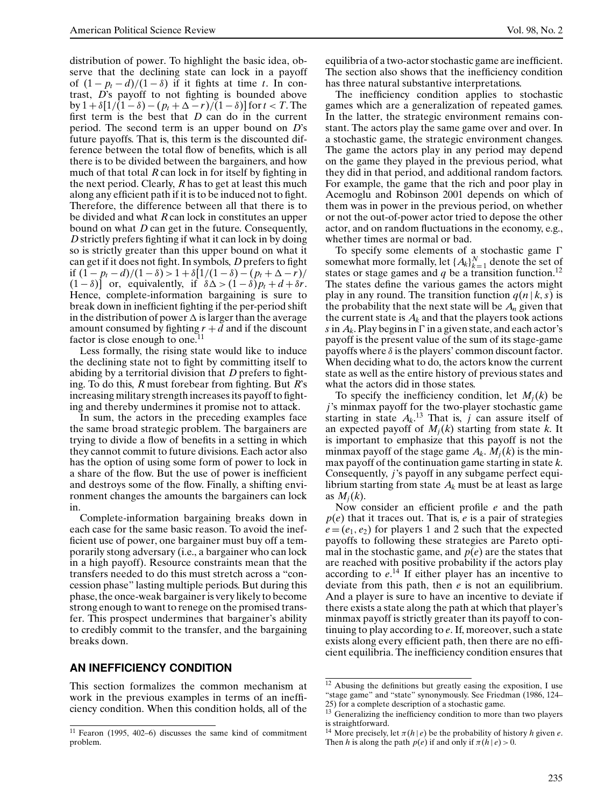distribution of power. To highlight the basic idea, observe that the declining state can lock in a payoff of  $(1 - p_t - d)/(1 - \delta)$  if it fights at time *t*. In contrast, *D*'s payoff to not fighting is bounded above  $\frac{1}{2} \left( \frac{1}{(1-\delta)} - \frac{p_t + \Delta - r}{(1-\delta)} \right)$  for  $t < T$ . The first term is the best that *D* can do in the current period. The second term is an upper bound on *D*'s future payoffs. That is, this term is the discounted difference between the total flow of benefits, which is all there is to be divided between the bargainers, and how much of that total *R* can lock in for itself by fighting in the next period. Clearly, *R* has to get at least this much along any efficient path if it is to be induced not to fight. Therefore, the difference between all that there is to be divided and what *R* can lock in constitutes an upper bound on what *D* can get in the future. Consequently, *D*strictly prefers fighting if what it can lock in by doing so is strictly greater than this upper bound on what it can get if it does not fight. In symbols, *D* prefers to fight if  $(1 - p_t - d)/(1 - \delta) > 1 + \delta[1/(1 - \delta) - (p_t + \Delta - r)/$  $(1 - \delta)$ ] or, equivalently, if  $\delta \Delta > (1 - \delta)p_t + d + \delta r$ . Hence, complete-information bargaining is sure to break down in inefficient fighting if the per-period shift in the distribution of power  $\Delta$  is larger than the average amount consumed by fighting  $r + d$  and if the discount factor is close enough to one.<sup>11</sup>

Less formally, the rising state would like to induce the declining state not to fight by committing itself to abiding by a territorial division that *D* prefers to fighting. To do this, *R* must forebear from fighting. But *R*'s increasing military strength increases its payoff to fighting and thereby undermines it promise not to attack.

In sum, the actors in the preceding examples face the same broad strategic problem. The bargainers are trying to divide a flow of benefits in a setting in which they cannot commit to future divisions. Each actor also has the option of using some form of power to lock in a share of the flow. But the use of power is inefficient and destroys some of the flow. Finally, a shifting environment changes the amounts the bargainers can lock in.

Complete-information bargaining breaks down in each case for the same basic reason. To avoid the inefficient use of power, one bargainer must buy off a temporarily stong adversary (i.e., a bargainer who can lock in a high payoff). Resource constraints mean that the transfers needed to do this must stretch across a "concession phase" lasting multiple periods. But during this phase, the once-weak bargainer is very likely to become strong enough to want to renege on the promised transfer. This prospect undermines that bargainer's ability to credibly commit to the transfer, and the bargaining breaks down.

# **AN INEFFICIENCYCONDITION**

This section formalizes the common mechanism at work in the previous examples in terms of an inefficiency condition. When this condition holds, all of the

equilibria of a two-actor stochastic game are inefficient. The section also shows that the inefficiency condition has three natural substantive interpretations.

The inefficiency condition applies to stochastic games which are a generalization of repeated games. In the latter, the strategic environment remains constant. The actors play the same game over and over. In a stochastic game, the strategic environment changes. The game the actors play in any period may depend on the game they played in the previous period, what they did in that period, and additional random factors. For example, the game that the rich and poor play in Acemoglu and Robinson 2001 depends on which of them was in power in the previous period, on whether or not the out-of-power actor tried to depose the other actor, and on random fluctuations in the economy, e.g., whether times are normal or bad.

To specify some elements of a stochastic game somewhat more formally, let  ${A_k}_{k=1}^N$  denote the set of states or stage games and  $q$  be a transition function.<sup>12</sup> The states define the various games the actors might play in any round. The transition function  $q(n | k, s)$  is the probability that the next state will be  $A_n$  given that the current state is  $A_k$  and that the players took actions *s* in  $A_k$ . Play begins in  $\Gamma$  in a given state, and each actor's payoff is the present value of the sum of its stage-game payoffs where  $\delta$  is the players' common discount factor. When deciding what to do, the actors know the current state as well as the entire history of previous states and what the actors did in those states.

To specify the inefficiency condition, let  $M_i(k)$  be *j*'s minmax payoff for the two-player stochastic game starting in state  $A_k$ .<sup>13</sup> That is, *j* can assure itself of an expected payoff of  $M_i(k)$  starting from state  $k$ . It is important to emphasize that this payoff is not the minmax payoff of the stage game  $A_k$ .  $M_j(k)$  is the minmax payoff of the continuation game starting in state *k*. Consequently, *j*'s payoff in any subgame perfect equilibrium starting from state *Ak* must be at least as large as  $M_i(k)$ .

Now consider an efficient profile *e* and the path *p*(*e*) that it traces out. That is, *e* is a pair of strategies  $e = (e_1, e_2)$  for players 1 and 2 such that the expected payoffs to following these strategies are Pareto optimal in the stochastic game, and  $p(e)$  are the states that are reached with positive probability if the actors play according to *e*. <sup>14</sup> If either player has an incentive to deviate from this path, then *e* is not an equilibrium. And a player is sure to have an incentive to deviate if there exists a state along the path at which that player's minmax payoff is strictly greater than its payoff to continuing to play according to *e*. If, moreover, such a state exists along every efficient path, then there are no efficient equilibria. The inefficiency condition ensures that

<sup>11</sup> Fearon (1995, 402–6) discusses the same kind of commitment problem.

<sup>12</sup> Abusing the definitions but greatly easing the exposition, I use "stage game" and "state" synonymously. See Friedman (1986, 124– 25) for a complete description of a stochastic game.

<sup>&</sup>lt;sup>13</sup> Generalizing the inefficiency condition to more than two players is straightforward.

<sup>&</sup>lt;sup>14</sup> More precisely, let  $\pi(h | e)$  be the probability of history *h* given *e*. Then *h* is along the path  $p(e)$  if and only if  $\pi(h | e) > 0$ .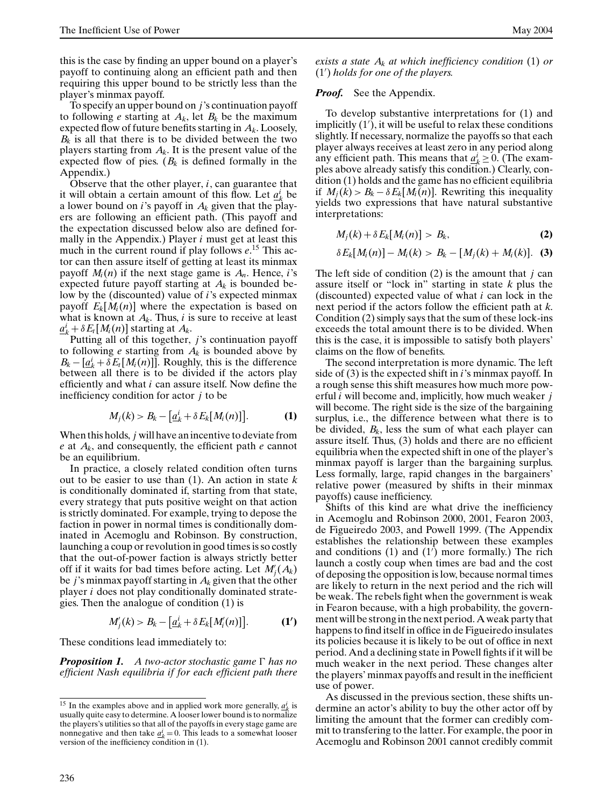this is the case by finding an upper bound on a player's payoff to continuing along an efficient path and then requiring this upper bound to be strictly less than the player's minmax payoff.

To specify an upper bound on *j*'s continuation payoff to following *e* starting at  $A_k$ , let  $B_k$  be the maximum expected flow of future benefits starting in *Ak*. Loosely,  $B_k$  is all that there is to be divided between the two players starting from  $A_k$ . It is the present value of the expected flow of pies.  $(B_k \text{ is defined formally in the})$ Appendix.)

Observe that the other player, *i*, can guarantee that it will obtain a certain amount of this flow. Let  $\underline{a}_k^i$  be a lower bound on *i*'s payoff in *Ak* given that the players are following an efficient path. (This payoff and the expectation discussed below also are defined formally in the Appendix.) Player *i* must get at least this much in the current round if play follows *e*. <sup>15</sup> This actor can then assure itself of getting at least its minmax payoff  $M_i(n)$  if the next stage game is  $A_n$ . Hence, *i*'s expected future payoff starting at  $A_k$  is bounded below by the (discounted) value of *i*'s expected minmax payoff  $E_k[M_i(n)]$  where the expectation is based on what is known at  $A_k$ . Thus, *i* is sure to receive at least  $a_k^i + \delta E_t[M_i(n)]$  starting at  $A_k$ .

Putting all of this together, *j*'s continuation payoff to following *e* starting from  $A_k$  is bounded above by  $B_k - [\underline{a}_k^i + \delta E_t[M_i(n)]]$ . Roughly, this is the difference between all there is to be divided if the actors play efficiently and what *i* can assure itself. Now define the inefficiency condition for actor *j* to be

$$
M_j(k) > B_k - \left[\underline{a}_k^i + \delta E_k[M_i(n)]\right].
$$
 (1)

When this holds, *j* will have an incentive to deviate from *e* at *Ak*, and consequently, the efficient path *e* cannot be an equilibrium.

In practice, a closely related condition often turns out to be easier to use than (1). An action in state *k* is conditionally dominated if, starting from that state, every strategy that puts positive weight on that action is strictly dominated. For example, trying to depose the faction in power in normal times is conditionally dominated in Acemoglu and Robinson. By construction, launching a coup or revolution in good times is so costly that the out-of-power faction is always strictly better off if it waits for bad times before acting. Let  $M_j'(A_k)$ be *j*'s minmax payoff starting in *Ak* given that the other player *i* does not play conditionally dominated strategies. Then the analogue of condition (1) is

$$
M'_{j}(k) > B_{k} - \left[\underline{a}_{k}^{i} + \delta E_{k}[M'_{i}(n)]\right].
$$
 (1')

These conditions lead immediately to:

*Proposition 1. A two-actor stochastic game*  $\Gamma$  *has no efficient Nash equilibria if for each efficient path there* *exists a state*  $A_k$  *at which inefficiency condition* (1) *or* (1 ) *holds for one of the players.*

#### *Proof.* See the Appendix.

To develop substantive interpretations for (1) and implicitly  $(1')$ , it will be useful to relax these conditions slightly. If necessary, normalize the payoffs so that each player always receives at least zero in any period along any efficient path. This means that  $a_k^i \ge 0$ . (The examples above already satisfy this condition.) Clearly, condition (1) holds and the game has no efficient equilibria if  $M_i(k) > B_k - \delta E_k[M_i(n)]$ . Rewriting this inequality yields two expressions that have natural substantive interpretations:

$$
M_j(k) + \delta E_k[M_i(n)] > B_k,
$$
 (2)

$$
\delta E_k[M_i(n)] - M_i(k) > B_k - [M_j(k) + M_i(k)]. \quad (3)
$$

The left side of condition (2) is the amount that *j* can assure itself or "lock in" starting in state *k* plus the (discounted) expected value of what *i* can lock in the next period if the actors follow the efficient path at *k*. Condition (2) simply says that the sum of these lock-ins exceeds the total amount there is to be divided. When this is the case, it is impossible to satisfy both players' claims on the flow of benefits.

The second interpretation is more dynamic. The left side of (3) is the expected shift in *i*'s minmax payoff. In a rough sense this shift measures how much more powerful *i* will become and, implicitly, how much weaker *j* will become. The right side is the size of the bargaining surplus, i.e., the difference between what there is to be divided, *Bk*, less the sum of what each player can assure itself. Thus, (3) holds and there are no efficient equilibria when the expected shift in one of the player's minmax payoff is larger than the bargaining surplus. Less formally, large, rapid changes in the bargainers' relative power (measured by shifts in their minmax payoffs) cause inefficiency.

Shifts of this kind are what drive the inefficiency in Acemoglu and Robinson 2000, 2001, Fearon 2003, de Figueiredo 2003, and Powell 1999. (The Appendix establishes the relationship between these examples and conditions (1) and (1 ) more formally.) The rich launch a costly coup when times are bad and the cost of deposing the opposition is low, because normal times are likely to return in the next period and the rich will be weak. The rebels fight when the government is weak in Fearon because, with a high probability, the government will be strong in the next period.A weak party that happens to find itself in office in de Figueiredo insulates its policies because it is likely to be out of office in next period. And a declining state in Powell fights if it will be much weaker in the next period. These changes alter the players' minmax payoffs and result in the inefficient use of power.

As discussed in the previous section, these shifts undermine an actor's ability to buy the other actor off by limiting the amount that the former can credibly commit to transfering to the latter. For example, the poor in Acemoglu and Robinson 2001 cannot credibly commit

<sup>&</sup>lt;sup>15</sup> In the examples above and in applied work more generally,  $\underline{a}_k^i$  is usually quite easy to determine. A looser lower bound is to normalize the players's utilities so that all of the payoffs in every stage game are nonnegative and then take  $\underline{a}_k^i = 0$ . This leads to a somewhat looser version of the inefficiency condition in (1).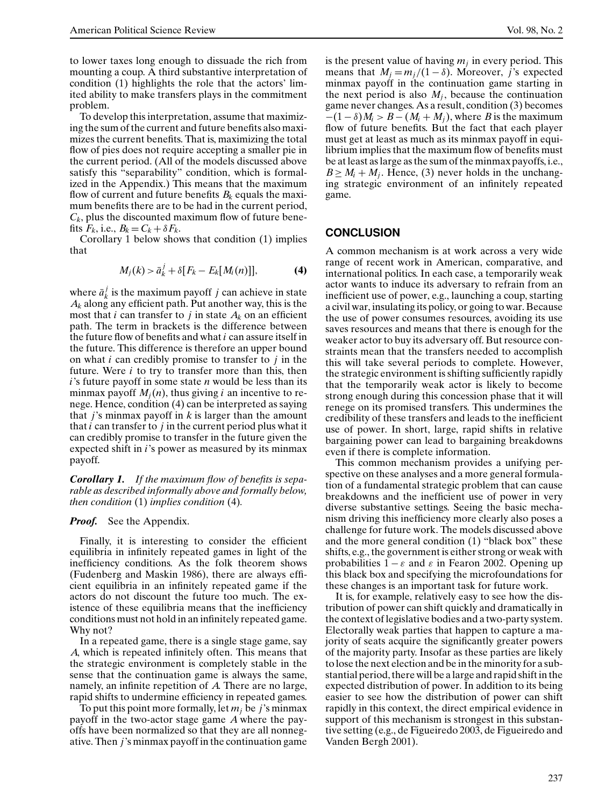to lower taxes long enough to dissuade the rich from mounting a coup. A third substantive interpretation of condition (1) highlights the role that the actors' limited ability to make transfers plays in the commitment problem.

To develop this interpretation, assume that maximizing the sum of the current and future benefits also maximizes the current benefits. That is, maximizing the total flow of pies does not require accepting a smaller pie in the current period. (All of the models discussed above satisfy this "separability" condition, which is formalized in the Appendix.) This means that the maximum flow of current and future benefits  $B_k$  equals the maximum benefits there are to be had in the current period,  $C_k$ , plus the discounted maximum flow of future benefits  $F_k$ , i.e.,  $B_k = C_k + \delta F_k$ .

Corollary 1 below shows that condition (1) implies that

$$
M_j(k) > \bar{a}_k^j + \delta[F_k - E_k[M_i(n)]], \qquad (4)
$$

where  $\bar{a}_k^j$  is the maximum payoff *j* can achieve in state *Ak* along any efficient path. Put another way, this is the most that *i* can transfer to *j* in state  $A_k$  on an efficient path. The term in brackets is the difference between the future flow of benefits and what *i* can assure itself in the future. This difference is therefore an upper bound on what *i* can credibly promise to transfer to *j* in the future. Were *i* to try to transfer more than this, then *i*'s future payoff in some state *n* would be less than its minmax payoff  $M_i(n)$ , thus giving *i* an incentive to renege. Hence, condition (4) can be interpreted as saying that *j*'s minmax payoff in *k* is larger than the amount that *i* can transfer to *j* in the current period plus what it can credibly promise to transfer in the future given the expected shift in *i*'s power as measured by its minmax payoff.

*Corollary 1. If the maximum flow of benefits is separable as described informally above and formally below, then condition* (1) *implies condition* (4)*.*

#### *Proof.* See the Appendix.

Finally, it is interesting to consider the efficient equilibria in infinitely repeated games in light of the inefficiency conditions. As the folk theorem shows (Fudenberg and Maskin 1986), there are always efficient equilibria in an infinitely repeated game if the actors do not discount the future too much. The existence of these equilibria means that the inefficiency conditions must not hold in an infinitely repeated game. Why not?

In a repeated game, there is a single stage game, say *A*, which is repeated infinitely often. This means that the strategic environment is completely stable in the sense that the continuation game is always the same, namely, an infinite repetition of *A*. There are no large, rapid shifts to undermine efficiency in repeated games.

To put this point more formally, let *mj* be *j*'s minmax payoff in the two-actor stage game *A* where the payoffs have been normalized so that they are all nonnegative. Then *j*'s minmax payoff in the continuation game is the present value of having  $m_i$  in every period. This means that  $M_i = m_i/(1 - \delta)$ . Moreover, *j*'s expected minmax payoff in the continuation game starting in the next period is also  $M_i$ , because the continuation game never changes. As a result, condition (3) becomes  $-(1 - \delta)M_i > B - (M_i + M_j)$ , where *B* is the maximum flow of future benefits. But the fact that each player must get at least as much as its minmax payoff in equilibrium implies that the maximum flow of benefits must be at least as large as the sum of the minmax payoffs, i.e.,  $B \geq M_i + M_j$ . Hence, (3) never holds in the unchanging strategic environment of an infinitely repeated game.

# **CONCLUSION**

A common mechanism is at work across a very wide range of recent work in American, comparative, and international politics. In each case, a temporarily weak actor wants to induce its adversary to refrain from an inefficient use of power, e.g., launching a coup, starting a civil war, insulating its policy, or going to war. Because the use of power consumes resources, avoiding its use saves resources and means that there is enough for the weaker actor to buy its adversary off. But resource constraints mean that the transfers needed to accomplish this will take several periods to complete. However, the strategic environment is shifting sufficiently rapidly that the temporarily weak actor is likely to become strong enough during this concession phase that it will renege on its promised transfers. This undermines the credibility of these transfers and leads to the inefficient use of power. In short, large, rapid shifts in relative bargaining power can lead to bargaining breakdowns even if there is complete information.

This common mechanism provides a unifying perspective on these analyses and a more general formulation of a fundamental strategic problem that can cause breakdowns and the inefficient use of power in very diverse substantive settings. Seeing the basic mechanism driving this inefficiency more clearly also poses a challenge for future work. The models discussed above and the more general condition (1) "black box" these shifts, e.g., the government is either strong or weak with probabilities  $1 - \varepsilon$  and  $\varepsilon$  in Fearon 2002. Opening up this black box and specifying the microfoundations for these changes is an important task for future work.

It is, for example, relatively easy to see how the distribution of power can shift quickly and dramatically in the context of legislative bodies and a two-party system. Electorally weak parties that happen to capture a majority of seats acquire the significantly greater powers of the majority party. Insofar as these parties are likely to lose the next election and be in the minority for a substantial period, there will be a large and rapid shift in the expected distribution of power. In addition to its being easier to see how the distribution of power can shift rapidly in this context, the direct empirical evidence in support of this mechanism is strongest in this substantive setting (e.g., de Figueiredo 2003, de Figueiredo and Vanden Bergh 2001).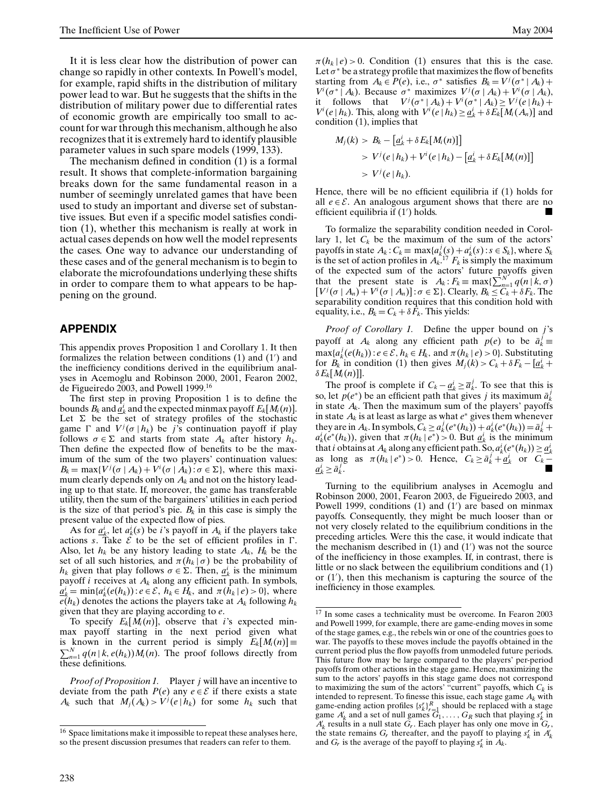It it is less clear how the distribution of power can change so rapidly in other contexts. In Powell's model, for example, rapid shifts in the distribution of military power lead to war. But he suggests that the shifts in the distribution of military power due to differential rates of economic growth are empirically too small to account for war through this mechanism, although he also recognizes that it is extremely hard to identify plausible parameter values in such spare models (1999, 133).

The mechanism defined in condition (1) is a formal result. It shows that complete-information bargaining breaks down for the same fundamental reason in a number of seemingly unrelated games that have been used to study an important and diverse set of substantive issues. But even if a specific model satisfies condition (1), whether this mechanism is really at work in actual cases depends on how well the model represents the cases. One way to advance our understanding of these cases and of the general mechanism is to begin to elaborate the microfoundations underlying these shifts in order to compare them to what appears to be happening on the ground.

# **APPENDIX**

This appendix proves Proposition 1 and Corollary 1. It then formalizes the relation between conditions (1) and (1 ) and the inefficiency conditions derived in the equilibrium analyses in Acemoglu and Robinson 2000, 2001, Fearon 2002, de Figueiredo 2003, and Powell 1999.<sup>16</sup>

The first step in proving Proposition 1 is to define the bounds  $B_k$  and  $\frac{a^i}{k}$  and the expected minmax payoff  $E_k[M_i(n)]$ . Let  $\Sigma$  be the set of strategy profiles of the stochastic game  $\Gamma$  and  $V^j(\sigma | h_k)$  be *j*'s continuation payoff if play follows  $\sigma \in \Sigma$  and starts from state  $A_k$  after history  $h_k$ . Then define the expected flow of benefits to be the maximum of the sum of the two players' continuation values:  $B_k = \max\{V^j(\sigma \mid A_k) + V^i(\sigma \mid A_k) : \sigma \in \Sigma\}$ , where this maximum clearly depends only on *Ak* and not on the history leading up to that state. If, moreover, the game has transferable utility, then the sum of the bargainers' utilities in each period is the size of that period's pie.  $B_k$  in this case is simply the present value of the expected flow of pies.

As for  $\underline{a_k^i}$ , let  $a_k^i(s)$  be *i*'s payoff in  $A_k$  if the players take actions *s*. Take  $\mathcal E$  to be the set of efficient profiles in  $\Gamma$ . Also, let  $h_k$  be any history leading to state  $A_k$ ,  $H_k$  be the set of all such histories, and  $\pi(h_k | \sigma)$  be the probability of *h<sub>k</sub>* given that play follows  $\sigma \in \Sigma$ . Then,  $\underline{a}^i_k$  is the minimum payoff *i* receives at *Ak* along any efficient path. In symbols,  $a_k^i$  = min{*a<sub>k</sub>*(*e*(*h<sub>k</sub>*)) : *e* ∈ *E*, *h<sub>k</sub>* ∈ *H<sub>k</sub>*, and  $\pi$ (*h<sub>k</sub>*|*e*) > 0}, where  $e(h_k)$  denotes the actions the players take at  $A_k$  following  $h_k$ given that they are playing according to *e*.

To specify  $E_k[M_i(n)]$ , observe that *i*'s expected minmax payoff starting in the next period given what<br>is known in the current period is simply  $E_k[M(n)] \equiv$ is known in the current period is simply  $E_k[M_i(n)] \equiv \sum_{n=1}^{N} q(n|k, e(h_k)) M_i(n)$ . The proof follows directly from these definitions.

*Proof of Proposition 1.* Player *j* will have an incentive to deviate from the path  $P(e)$  any  $e \in \mathcal{E}$  if there exists a state *A<sub>k</sub>* such that  $M_j(A_k) > V^j(e|h_k)$  for some  $h_k$  such that

 $\pi(h_k | e) > 0$ . Condition (1) ensures that this is the case. Let  $\sigma^*$  be a strategy profile that maximizes the flow of benefits starting from  $A_k \in P(e)$ , i.e.,  $\sigma^*$  satisfies  $B_k = V^j(\sigma^* | A_k) +$ *V<sup><i>i*</sup>( $\sigma$ <sup>∗</sup> | *A<sub>k</sub>*). Because  $\sigma$ <sup>∗</sup> maximizes *V<sup><i>j*</sup>( $\sigma$  | *A<sub>k</sub>*) + *V<sup><i>i*</sup>( $\sigma$  | *A<sub>k</sub>*), it follows that  $V^{j}(\sigma^{*} | A_{k}) + V^{i}(\sigma^{*} | A_{k}) \geq V^{j}(e | h_{k}) + V^{j}(e | h_{k})$  $V^i(e | h_k)$ . This, along with  $V^i(e | h_k) \ge \underline{a_k^i} + \delta E_k[M_i(A_n)]$  and condition (1), implies that

$$
M_j(k) > B_k - \left[\underline{a}_k^i + \delta E_k[M_i(n)]\right] > V^j(e|h_k) + V^i(e|h_k) - \left[\underline{a}_k^i + \delta E_k[M_i(n)]\right] > V^j(e|h_k).
$$

Hence, there will be no efficient equilibria if (1) holds for all  $e \in \mathcal{E}$ . An analogous argument shows that there are no efficient equilibria if  $(1')$  holds.

To formalize the separability condition needed in Corollary 1, let  $C_k$  be the maximum of the sum of the actors' payoffs in state  $A_k$ :  $C_k \equiv \max\{a_k^j(s) + a_k^i(s) : s \in S_k\}$ , where  $S_k$  is the set of action profiles in  $A_k$ .<sup>17</sup>  $F_k$  is simply the maximum of the expected sum of the actors' future payoffs given that the present state is  $A_k : F_k = \max\{\sum_{n=1}^N q(n | k, \sigma)\}$  $[V<sup>j</sup>(\sigma | A_n) + V<sup>i</sup>(\sigma | A_n)]$ :  $\sigma \in \Sigma$ }. Clearly,  $B_k \le C_k + \delta F_k$ . The separability condition requires that this condition hold with equality, i.e.,  $B_k = C_k + \delta F_k$ . This yields:

*Proof of Corollary 1.* Define the upper bound on *j*'s payoff at *A<sub>k</sub>* along any efficient path *p*(*e*) to be  $\bar{a}_k^j \equiv$  $\max\{a_k^j(e(h_k)) : e \in \mathcal{E}, h_k \in H_k, \text{ and } \pi(h_k | e) > 0\}.$  Substituting for  $B_k$  in condition (1) then gives  $M_j(k) > C_k + \delta F_k - \left[a^i_k + a^i_k\right]$ δ*Ek*[*Mi*(*n*)]].

The proof is complete if  $C_k - \underline{a_k^i} \geq \overline{a_k^j}$ . To see that this is so, let  $p(e^*)$  be an efficient path that gives *j* its maximum  $\bar{a}_k^j$ in state  $A_k$ . Then the maximum sum of the players' payoffs in state *Ak* is at least as large as what *e*<sup>∗</sup> gives them whenever they are in *A<sub>k</sub>*. In symbols,  $C_k \ge a_k^j(e^*(h_k)) + a_k^i(e^*(h_k)) = \bar{a}_k^j +$  $a_k^i(e^*(h_k))$ , given that  $\pi(h_k | e^*) > 0$ . But  $\underline{a}_k^i$  is the minimum that *i* obtains at *A<sub>k</sub>* along any efficient path. So,  $a_k^i(e^*(h_k)) \geq \underline{a}_k^i$ as long as  $\pi(h_k | e^*) > 0$ . Hence,  $C_k \ge \bar{a}_k^j + \hat{a}_k^i$  or  $C_k =$  $a_k^i \geq \bar{a}_k^j$ *<sup>k</sup>*.

Turning to the equilibrium analyses in Acemoglu and Robinson 2000, 2001, Fearon 2003, de Figueiredo 2003, and Powell 1999, conditions (1) and (1') are based on minmax payoffs. Consequently, they might be much looser than or not very closely related to the equilibrium conditions in the preceding articles. Were this the case, it would indicate that the mechanism described in  $(1)$  and  $(1')$  was not the source of the inefficiency in those examples. If, in contrast, there is little or no slack between the equilibrium conditions and (1) or (1 ), then this mechanism is capturing the source of the inefficiency in those examples.

<sup>&</sup>lt;sup>16</sup> Space limitations make it impossible to repeat these analyses here, so the present discussion presumes that readers can refer to them.

<sup>17</sup> In some cases a technicality must be overcome. In Fearon 2003 and Powell 1999, for example, there are game-ending moves in some of the stage games, e.g., the rebels win or one of the countries goes to war. The payoffs to these moves include the payoffs obtained in the current period plus the flow payoffs from unmodeled future periods. This future flow may be large compared to the players' per-period payoffs from other actions in the stage game. Hence, maximizing the sum to the actors' payoffs in this stage game does not correspond to maximizing the sum of the actors' "current" payoffs, which  $C_k$  is intended to represent. To finesse this issue, each stage game *Ak* with game-ending action profiles  ${s_k'}_{r=1}^R$  should be replaced with a stage game  $A'_k$  and a set of null games  $G_1, \ldots, G_R$  such that playing  $s'_k$  in  $A'_k$  results in a null state  $G_r$ . Each player has only one move in  $G_r$ , the state remains  $G_r$  thereafter, and the payoff to playing  $s_k^r$  in  $A_k^r$ and  $G_r$  is the average of the payoff to playing  $s_k^r$  in  $A_k$ .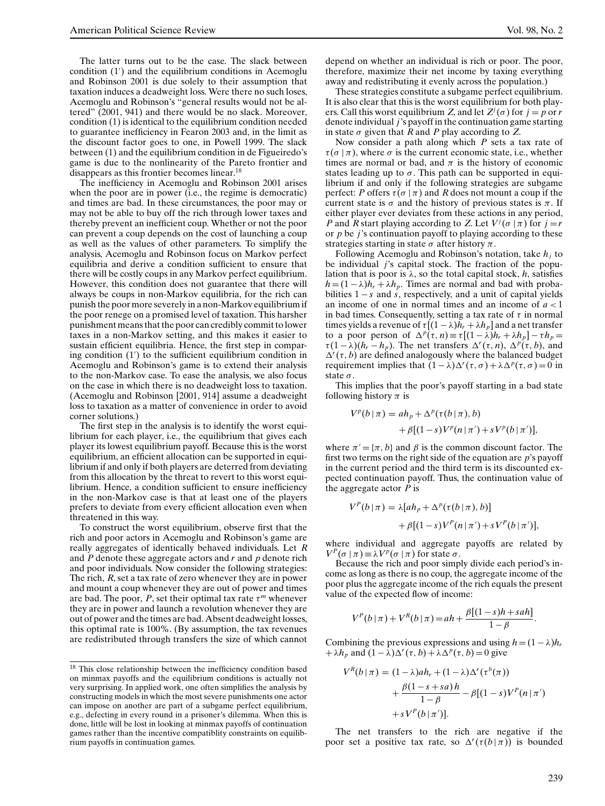The latter turns out to be the case. The slack between condition (1 ) and the equilibrium conditions in Acemoglu and Robinson 2001 is due solely to their assumption that taxation induces a deadweight loss. Were there no such loses, Acemoglu and Robinson's "general results would not be altered" (2001, 941) and there would be no slack. Moreover, condition (1) is identical to the equilibrium condition needed to guarantee inefficiency in Fearon 2003 and, in the limit as the discount factor goes to one, in Powell 1999. The slack between (1) and the equilibrium condition in de Figueiredo's game is due to the nonlinearity of the Pareto frontier and disappears as this frontier becomes linear.<sup>18</sup>

The inefficiency in Acemoglu and Robinson 2001 arises when the poor are in power (i.e., the regime is democratic) and times are bad. In these circumstances, the poor may or may not be able to buy off the rich through lower taxes and thereby prevent an inefficient coup. Whether or not the poor can prevent a coup depends on the cost of launching a coup as well as the values of other parameters. To simplify the analysis, Acemoglu and Robinson focus on Markov perfect equilibria and derive a condition sufficient to ensure that there will be costly coups in any Markov perfect equilibrium. However, this condition does not guarantee that there will always be coups in non-Markov equilibria, for the rich can punish the poor more severely in a non-Markov equilibrium if the poor renege on a promised level of taxation. This harsher punishment means that the poor can credibly commit to lower taxes in a non-Markov setting, and this makes it easier to sustain efficient equilibria. Hence, the first step in comparing condition (1 ) to the sufficient equilibrium condition in Acemoglu and Robinson's game is to extend their analysis to the non-Markov case. To ease the analysis, we also focus on the case in which there is no deadweight loss to taxation. (Acemoglu and Robinson [2001, 914] assume a deadweight loss to taxation as a matter of convenience in order to avoid corner solutions.)

The first step in the analysis is to identify the worst equilibrium for each player, i.e., the equilibrium that gives each player its lowest equilibrium payoff. Because this is the worst equilibrium, an efficient allocation can be supported in equilibrium if and only if both players are deterred from deviating from this allocation by the threat to revert to this worst equilibrium. Hence, a condition sufficient to ensure inefficiency in the non-Markov case is that at least one of the players prefers to deviate from every efficient allocation even when threatened in this way.

To construct the worst equilibrium, observe first that the rich and poor actors in Acemoglu and Robinson's game are really aggregates of identically behaved individuals. Let *R* and *P* denote these aggregate actors and *r* and *p* denote rich and poor individuals. Now consider the following strategies: The rich, *R*, set a tax rate of zero whenever they are in power and mount a coup whenever they are out of power and times are bad. The poor, *P*, set their optimal tax rate  $\tau^m$  whenever they are in power and launch a revolution whenever they are out of power and the times are bad. Absent deadweight losses, this optimal rate is 100%. (By assumption, the tax revenues are redistributed through transfers the size of which cannot

depend on whether an individual is rich or poor. The poor, therefore, maximize their net income by taxing everything away and redistributing it evenly across the population.)

These strategies constitute a subgame perfect equilibrium. It is also clear that this is the worst equilibrium for both players. Call this worst equilibrium *Z*, and let  $Z^j(\sigma)$  for  $j = p$  or *r* denote individual *j*'s payoff in the continuation game starting in state σ given that *R* and *P* play according to *Z*.

Now consider a path along which *P* sets a tax rate of  $\tau(\sigma | \pi)$ , where  $\sigma$  is the current economic state, i.e., whether times are normal or bad, and  $\pi$  is the history of economic states leading up to  $\sigma$ . This path can be supported in equilibrium if and only if the following strategies are subgame perfect: *P* offers  $\tau(\sigma | \pi)$  and *R* does not mount a coup if the current state is  $\sigma$  and the history of previous states is  $\pi$ . If either player ever deviates from these actions in any period, *P* and *R* start playing according to *Z*. Let  $V^j(\sigma | \pi)$  for  $j = r$ or *p* be *j*'s continuation payoff to playing according to these strategies starting in state  $\sigma$  after history  $\pi$ .

Following Acemoglu and Robinson's notation, take *hj* to be individual *j*'s capital stock. The fraction of the population that is poor is  $\lambda$ , so the total capital stock,  $h$ , satisfies  $h = (1 - \lambda)h_r + \lambda h_p$ . Times are normal and bad with probabilities 1 − *s* and *s*, respectively, and a unit of capital yields an income of one in normal times and an income of *a* < 1 in bad times. Consequently, setting a tax rate of  $\tau$  in normal times yields a revenue of  $\tau [(1 - \lambda)h_r + \lambda h_p]$  and a net transfer to a poor person of  $\Delta^p(\tau, n) = \tau[(1 - \lambda)h_r + \lambda h_p] - \tau h_p =$  $\tau (1 - \lambda)(h_r - h_p)$ . The net transfers  $\Delta^r(\tau, n)$ ,  $\Delta^p(\tau, b)$ , and  $\Delta^r(\tau, b)$  are defined analogously where the balanced budget requirement implies that  $(1 - \lambda)\Delta^r(\tau, \sigma) + \lambda \Delta^p(\tau, \sigma) = 0$  in state  $\sigma$ .

This implies that the poor's payoff starting in a bad state following history  $\pi$  is

$$
V^{p}(b \mid \pi) = ah_{p} + \Delta^{p}(\tau(b \mid \pi), b)
$$
  
+  $\beta[(1 - s)V^{p}(n \mid \pi') + sV^{p}(b \mid \pi')],$ 

where  $\pi' = {\pi, b}$  and  $\beta$  is the common discount factor. The first two terms on the right side of the equation are *p*'s payoff in the current period and the third term is its discounted expected continuation payoff. Thus, the continuation value of the aggregate actor *P* is

$$
V^{P}(b \mid \pi) = \lambda [ah_{p} + \Delta^{P}(\tau(b \mid \pi), b)]
$$
  
+  $\beta [(1 - s)V^{P}(n \mid \pi') + sV^{P}(b \mid \pi')],$ 

where individual and aggregate payoffs are related by  $V^P(\sigma | \pi) \equiv \lambda V^P(\sigma | \pi)$  for state  $\sigma$ .

Because the rich and poor simply divide each period's income as long as there is no coup, the aggregate income of the poor plus the aggregate income of the rich equals the present value of the expected flow of income:

$$
V^{P}(b \mid \pi) + V^{R}(b \mid \pi) = ah + \frac{\beta[(1-s)h + sah]}{1-\beta}.
$$

Combining the previous expressions and using  $h = (1 - \lambda)h_r$  $+\lambda h_p$  and  $(1 - \lambda)\Delta^r(\tau, b) + \lambda \Delta^p(\tau, b) = 0$  give

$$
V^{R}(b \mid \pi) = (1 - \lambda)ah_r + (1 - \lambda)\Delta^{r}(\tau^{b}(\pi))
$$
  
+ 
$$
\frac{\beta(1 - s + sa)h}{1 - \beta} - \beta[(1 - s)V^{P}(n \mid \pi^{r})]
$$
  
+ 
$$
sV^{P}(b \mid \pi^{r})].
$$

The net transfers to the rich are negative if the poor set a positive tax rate, so  $\Delta^r(\tau(b|\pi))$  is bounded

<sup>18</sup> This close relationship between the inefficiency condition based on minmax payoffs and the equilibrium conditions is actually not very surprising. In applied work, one often simplifies the analysis by constructing models in which the most severe punishments one actor can impose on another are part of a subgame perfect equilibrium, e.g., defecting in every round in a prisoner's dilemma. When this is done, little will be lost in looking at minmax payoffs of continuation games rather than the incentive compatiblity constraints on equilibrium payoffs in continuation games.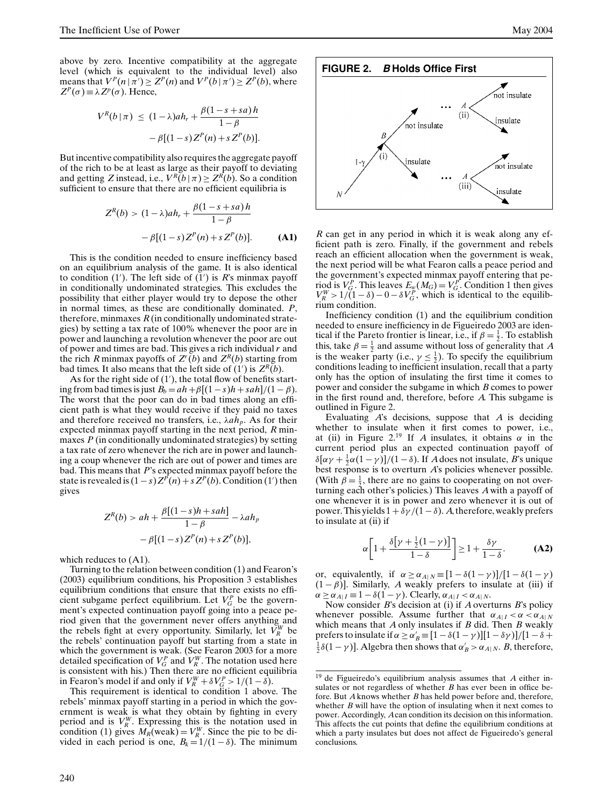above by zero. Incentive compatibility at the aggregate level (which is equivalent to the individual level) also means that  $V^P(n | \pi') \ge Z^P(n)$  and  $V^P(b | \pi') \ge Z^P(b)$ , where  $Z^P(\sigma) \equiv \lambda Z^P(\sigma)$ . Hence,

$$
V^R(b \mid \pi) \le (1 - \lambda)ah_r + \frac{\beta(1 - s + sa)h}{1 - \beta}
$$

$$
- \beta[(1 - s)Z^P(n) + sZ^P(b)].
$$

But incentive compatibility also requires the aggregate payoff of the rich to be at least as large as their payoff to deviating and getting *Z* instead, i.e.,  $V^R(b|\pi) \geq Z^R(b)$ . So a condition sufficient to ensure that there are no efficient equilibria is

$$
Z^{R}(b) > (1 - \lambda)ah_{r} + \frac{\beta(1 - s + sa)h}{1 - \beta}
$$

$$
- \beta[(1 - s)Z^{P}(n) + sZ^{P}(b)]. \qquad (A1)
$$

This is the condition needed to ensure inefficiency based on an equilibrium analysis of the game. It is also identical to condition (1 ). The left side of (1 ) is *R*'s minmax payoff in conditionally undominated strategies. This excludes the possibility that either player would try to depose the other in normal times, as these are conditionally dominated. *P*, therefore, minmaxes *R*(in conditionally undominated strategies) by setting a tax rate of 100% whenever the poor are in power and launching a revolution whenever the poor are out of power and times are bad. This gives a rich individual *r* and the rich *R* minmax payoffs of  $Z^{r}(b)$  and  $Z^{R}(b)$  starting from bad times. It also means that the left side of  $(1')$  is  $Z^R(b)$ .

As for the right side of  $(1')$ , the total flow of benefits starting from bad times is just  $B_b = ah + \beta[(1-s)h + \frac{sa}{1-\beta}]$ . The worst that the poor can do in bad times along an efficient path is what they would receive if they paid no taxes and therefore received no transfers, i.e., λ*ahp*. As for their expected minmax payoff starting in the next period, *R* minmaxes *P* (in conditionally undominated strategies) by setting a tax rate of zero whenever the rich are in power and launching a coup whenever the rich are out of power and times are bad. This means that *P*'s expected minmax payoff before the state is revealed is  $(1-s)Z^{P}(n) + s Z^{P}(b)$ . Condition (1') then gives

$$
Z^{R}(b) > ah + \frac{\beta[(1-s)h + sah]}{1-\beta} - \lambda ah_{p}
$$

$$
-\beta[(1-s)Z^{P}(n) + sZ^{P}(b)],
$$

which reduces to  $(A1)$ .

Turning to the relation between condition (1) and Fearon's (2003) equilibrium conditions, his Proposition 3 establishes equilibrium conditions that ensure that there exists no efficient subgame perfect equilibrium. Let  $V_G^P$  be the government's expected continuation payoff going into a peace period given that the government never offers anything and the rebels fight at every opportunity. Similarly, let  $\bar{V}_R^W$  be the rebels' continuation payoff but starting from a state in which the government is weak. (See Fearon 2003 for a more detailed specification of  $V_G^P$  and  $V_K^W$ . The notation used here is consistent with his.) Then there are no efficient equilibria in Fearon's model if and only if  $V_R^W + \delta V_G^P > 1/(1 - \delta)$ .

This requirement is identical to condition 1 above. The rebels' minmax payoff starting in a period in which the government is weak is what they obtain by fighting in every period and is  $V_R^W$ . Expressing this is the notation used in condition (1) gives  $M_R$ (weak) =  $V_R^W$ . Since the pie to be divided in each period is one,  $B_k = 1/(1 - \delta)$ . The minimum



*R* can get in any period in which it is weak along any efficient path is zero. Finally, if the government and rebels reach an efficient allocation when the government is weak, the next period will be what Fearon calls a peace period and the government's expected minmax payoff entering that period is  $V_G^P$ . This leaves  $E_w(M_G) = V_G^P$ . Condition 1 then gives  $V_R^W > 1/(1-\delta) - 0 - \delta V_G^P$ , which is identical to the equilibrium condition.

Inefficiency condition (1) and the equilibrium condition needed to ensure inefficiency in de Figueiredo 2003 are identical if the Pareto frontier is linear, i.e., if  $\beta = \frac{1}{2}$ . To establish this, take  $\beta = \frac{1}{2}$  and assume without loss of generality that *A* is the weaker party (i.e.,  $\gamma \leq \frac{1}{2}$ ). To specify the equilibrium conditions leading to inefficient insulation, recall that a party only has the option of insulating the first time it comes to power and consider the subgame in which *B* comes to power in the first round and, therefore, before *A*. This subgame is outlined in Figure 2.

Evaluating *A*'s decisions, suppose that *A* is deciding whether to insulate when it first comes to power, i.e., at (ii) in Figure  $2^{19}$  If *A* insulates, it obtains  $\alpha$  in the current period plus an expected continuation payoff of  $\delta[\alpha\gamma + \frac{1}{2}\alpha(1-\gamma)]/(1-\delta)$ . If *A* does not insulate, *B*'s unique best response is to overturn *A*'s policies whenever possible. (With  $\beta = \frac{1}{2}$ , there are no gains to cooperating on not overturning each other's policies.) This leaves *A*with a payoff of one whenever it is in power and zero whenever it is out of power. This yields  $1 + \delta \gamma/(1 - \delta)$ . *A*, therefore, weakly prefers to insulate at (ii) if

$$
\alpha \left[ 1 + \frac{\delta \left[ \gamma + \frac{1}{2} (1 - \gamma) \right]}{1 - \delta} \right] \ge 1 + \frac{\delta \gamma}{1 - \delta}.
$$
 (A2)

or, equivalently, if  $\alpha \ge \alpha_{A|N} \equiv [1 - \delta(1 - \gamma)]/[1 - \delta(1 - \gamma)]$  $(1 - \beta)$ ]. Similarly, *A* weakly prefers to insulate at (iii) if  $\alpha \geq \alpha_{A|I} \equiv 1 - \delta(1 - \gamma)$ . Clearly,  $\alpha_{A|I} < \alpha_{A|N}$ .

Now consider *B*'s decision at (i) if *A*overturns *B*'s policy whenever possible. Assume further that  $\alpha_{A|I} < \alpha < \alpha_{A|N}$ which means that *A* only insulates if *B* did. Then *B* weakly prefers to insulate if  $\alpha \ge \alpha'_B \equiv [1 - \delta(1 - \gamma)][1 - \delta\gamma]/[1 - \delta +$ <br> $\frac{1}{2}\delta(1 - \gamma)$ ]. A locker then shows that  $\alpha' > \alpha \dots B$ , therefore  $\frac{1}{2}\delta(1-\gamma)$ ]. Algebra then shows that  $\alpha'_{B} > \alpha_{A|N}$ . *B*, therefore,

<sup>19</sup> de Figueiredo's equilibrium analysis assumes that *A* either insulates or not regardless of whether *B* has ever been in office before. But *A*knows whether *B* has held power before and, therefore, whether *B* will have the option of insulating when it next comes to power. Accordingly, *A*can condition its decision on this information. This affects the cut points that define the equilibrium conditions at which a party insulates but does not affect de Figueiredo's general conclusions.